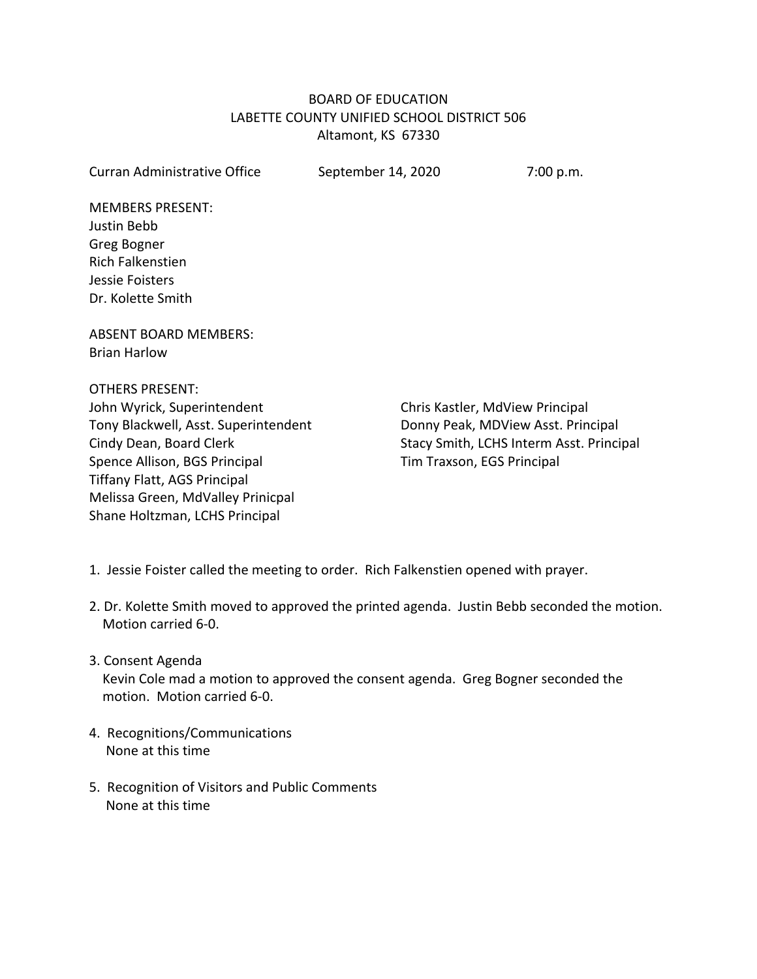# BOARD OF EDUCATION LABETTE COUNTY UNIFIED SCHOOL DISTRICT 506 Altamont, KS 67330

| <b>Curran Administrative Office</b>  | September 14, 2020         | 7:00 p.m.                                |  |
|--------------------------------------|----------------------------|------------------------------------------|--|
| <b>MEMBERS PRESENT:</b>              |                            |                                          |  |
| Justin Bebb                          |                            |                                          |  |
| Greg Bogner                          |                            |                                          |  |
| <b>Rich Falkenstien</b>              |                            |                                          |  |
| Jessie Foisters                      |                            |                                          |  |
| Dr. Kolette Smith                    |                            |                                          |  |
| <b>ABSENT BOARD MEMBERS:</b>         |                            |                                          |  |
| <b>Brian Harlow</b>                  |                            |                                          |  |
| <b>OTHERS PRESENT:</b>               |                            |                                          |  |
| John Wyrick, Superintendent          |                            | Chris Kastler, MdView Principal          |  |
| Tony Blackwell, Asst. Superintendent |                            | Donny Peak, MDView Asst. Principal       |  |
| Cindy Dean, Board Clerk              |                            | Stacy Smith, LCHS Interm Asst. Principal |  |
| Spence Allison, BGS Principal        | Tim Traxson, EGS Principal |                                          |  |
| <b>Tiffany Flatt, AGS Principal</b>  |                            |                                          |  |
| Melissa Green, MdValley Prinicpal    |                            |                                          |  |
| Shane Holtzman, LCHS Principal       |                            |                                          |  |

- 1. Jessie Foister called the meeting to order. Rich Falkenstien opened with prayer.
- 2. Dr. Kolette Smith moved to approved the printed agenda. Justin Bebb seconded the motion. Motion carried 6-0.
- 3. Consent Agenda

 Kevin Cole mad a motion to approved the consent agenda. Greg Bogner seconded the motion. Motion carried 6-0.

- 4. Recognitions/Communications None at this time
- 5. Recognition of Visitors and Public Comments None at this time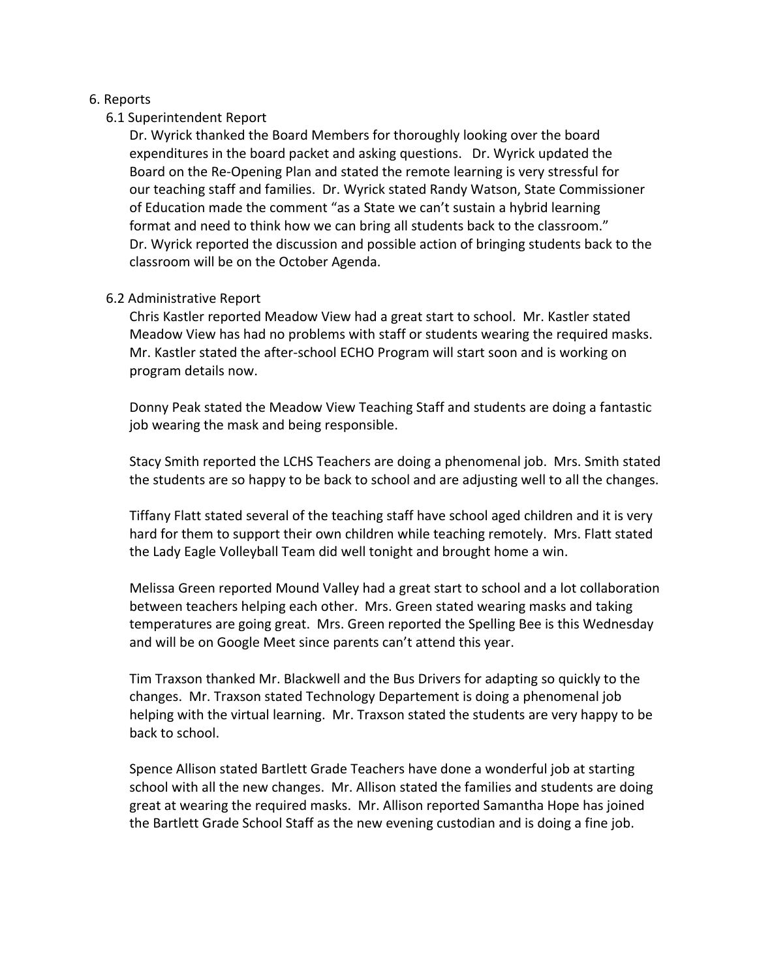# 6. Reports

# 6.1 Superintendent Report

 Dr. Wyrick thanked the Board Members for thoroughly looking over the board expenditures in the board packet and asking questions. Dr. Wyrick updated the Board on the Re-Opening Plan and stated the remote learning is very stressful for our teaching staff and families. Dr. Wyrick stated Randy Watson, State Commissioner of Education made the comment "as a State we can't sustain a hybrid learning format and need to think how we can bring all students back to the classroom." Dr. Wyrick reported the discussion and possible action of bringing students back to the classroom will be on the October Agenda.

# 6.2 Administrative Report

 Chris Kastler reported Meadow View had a great start to school. Mr. Kastler stated Meadow View has had no problems with staff or students wearing the required masks. Mr. Kastler stated the after-school ECHO Program will start soon and is working on program details now.

 Donny Peak stated the Meadow View Teaching Staff and students are doing a fantastic job wearing the mask and being responsible.

 Stacy Smith reported the LCHS Teachers are doing a phenomenal job. Mrs. Smith stated the students are so happy to be back to school and are adjusting well to all the changes.

 Tiffany Flatt stated several of the teaching staff have school aged children and it is very hard for them to support their own children while teaching remotely. Mrs. Flatt stated the Lady Eagle Volleyball Team did well tonight and brought home a win.

 Melissa Green reported Mound Valley had a great start to school and a lot collaboration between teachers helping each other. Mrs. Green stated wearing masks and taking temperatures are going great. Mrs. Green reported the Spelling Bee is this Wednesday and will be on Google Meet since parents can't attend this year.

 Tim Traxson thanked Mr. Blackwell and the Bus Drivers for adapting so quickly to the changes. Mr. Traxson stated Technology Departement is doing a phenomenal job helping with the virtual learning. Mr. Traxson stated the students are very happy to be back to school.

 Spence Allison stated Bartlett Grade Teachers have done a wonderful job at starting school with all the new changes. Mr. Allison stated the families and students are doing great at wearing the required masks. Mr. Allison reported Samantha Hope has joined the Bartlett Grade School Staff as the new evening custodian and is doing a fine job.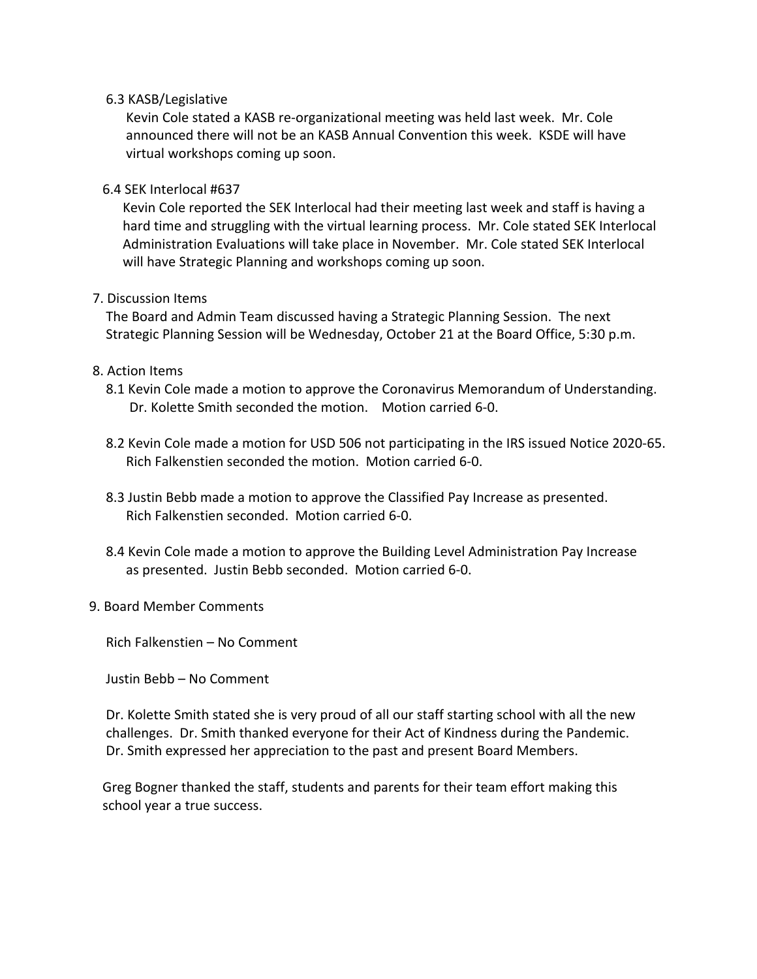### 6.3 KASB/Legislative

 Kevin Cole stated a KASB re-organizational meeting was held last week. Mr. Cole announced there will not be an KASB Annual Convention this week. KSDE will have virtual workshops coming up soon.

#### 6.4 SEK Interlocal #637

 Kevin Cole reported the SEK Interlocal had their meeting last week and staff is having a hard time and struggling with the virtual learning process. Mr. Cole stated SEK Interlocal Administration Evaluations will take place in November. Mr. Cole stated SEK Interlocal will have Strategic Planning and workshops coming up soon.

### 7. Discussion Items

 The Board and Admin Team discussed having a Strategic Planning Session. The next Strategic Planning Session will be Wednesday, October 21 at the Board Office, 5:30 p.m.

### 8. Action Items

- 8.1 Kevin Cole made a motion to approve the Coronavirus Memorandum of Understanding. Dr. Kolette Smith seconded the motion. Motion carried 6-0.
- 8.2 Kevin Cole made a motion for USD 506 not participating in the IRS issued Notice 2020-65. Rich Falkenstien seconded the motion. Motion carried 6-0.
- 8.3 Justin Bebb made a motion to approve the Classified Pay Increase as presented. Rich Falkenstien seconded. Motion carried 6-0.
- 8.4 Kevin Cole made a motion to approve the Building Level Administration Pay Increase as presented. Justin Bebb seconded. Motion carried 6-0.

### 9. Board Member Comments

Rich Falkenstien – No Comment

Justin Bebb – No Comment

 Dr. Kolette Smith stated she is very proud of all our staff starting school with all the new challenges. Dr. Smith thanked everyone for their Act of Kindness during the Pandemic. Dr. Smith expressed her appreciation to the past and present Board Members.

 Greg Bogner thanked the staff, students and parents for their team effort making this school year a true success.